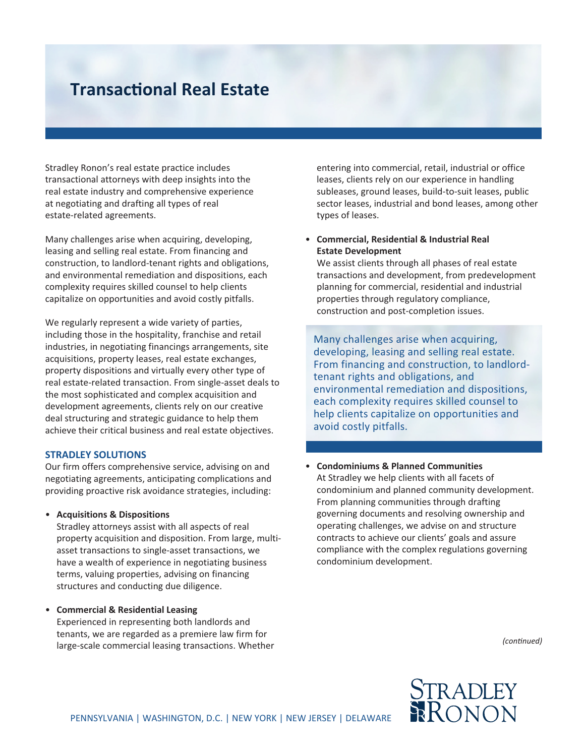# **Transactional Real Estate**

Stradley Ronon's real estate practice includes transactional attorneys with deep insights into the real estate industry and comprehensive experience at negotiating and drafting all types of real estate-related agreements.

Many challenges arise when acquiring, developing, leasing and selling real estate. From financing and construction, to landlord-tenant rights and obligations, and environmental remediation and dispositions, each complexity requires skilled counsel to help clients capitalize on opportunities and avoid costly pitfalls.

We regularly represent a wide variety of parties, including those in the hospitality, franchise and retail industries, in negotiating financings arrangements, site acquisitions, property leases, real estate exchanges, property dispositions and virtually every other type of real estate-related transaction. From single-asset deals to the most sophisticated and complex acquisition and development agreements, clients rely on our creative deal structuring and strategic guidance to help them achieve their critical business and real estate objectives.

#### **STRadlEy SoluTionS**

Our firm offers comprehensive service, advising on and negotiating agreements, anticipating complications and providing proactive risk avoidance strategies, including:

### • **acquisitions & dispositions**

Stradley attorneys assist with all aspects of real property acquisition and disposition. From large, multiasset transactions to single-asset transactions, we have a wealth of experience in negotiating business terms, valuing properties, advising on financing structures and conducting due diligence.

### • **Commercial & Residential leasing**

Experienced in representing both landlords and tenants, we are regarded as a premiere law firm for large-scale commercial leasing transactions. Whether

entering into commercial, retail, industrial or office leases, clients rely on our experience in handling subleases, ground leases, build-to-suit leases, public sector leases, industrial and bond leases, among other types of leases.

### • **Commercial, Residential & industrial Real Estate development**

We assist clients through all phases of real estate transactions and development, from predevelopment planning for commercial, residential and industrial properties through regulatory compliance, construction and post-completion issues.

Many challenges arise when acquiring, developing, leasing and selling real estate. From financing and construction, to landlordtenant rights and obligations, and environmental remediation and dispositions, each complexity requires skilled counsel to help clients capitalize on opportunities and avoid costly pitfalls.

## • **Condominiums & Planned Communities** At Stradley we help clients with all facets of condominium and planned community development. From planning communities through drafting governing documents and resolving ownership and operating challenges, we advise on and structure contracts to achieve our clients' goals and assure compliance with the complex regulations governing condominium development.

*(continued)*